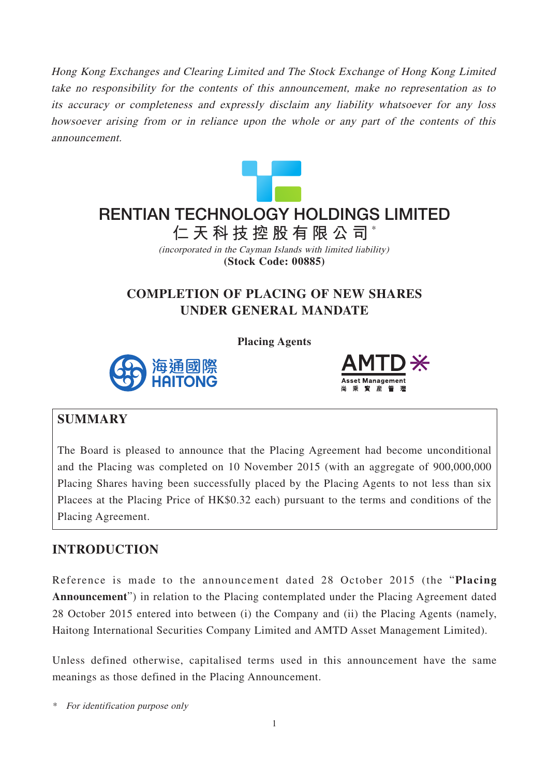Hong Kong Exchanges and Clearing Limited and The Stock Exchange of Hong Kong Limited take no responsibility for the contents of this announcement, make no representation as to its accuracy or completeness and expressly disclaim any liability whatsoever for any loss howsoever arising from or in reliance upon the whole or any part of the contents of this announcement.



# **仁天科技控股有限公司** \* **RENTIAN TECHNOLOGY HOLDINGS LIMITED**

(incorporated in the Cayman Islands with limited liability) **(Stock Code: 00885)**

# **COMPLETION OF PLACING OF NEW SHARES UNDER GENERAL MANDATE**

**Placing Agents**





#### **SUMMARY**

The Board is pleased to announce that the Placing Agreement had become unconditional and the Placing was completed on 10 November 2015 (with an aggregate of 900,000,000 Placing Shares having been successfully placed by the Placing Agents to not less than six Placees at the Placing Price of HK\$0.32 each) pursuant to the terms and conditions of the Placing Agreement.

### **INTRODUCTION**

Reference is made to the announcement dated 28 October 2015 (the "**Placing Announcement**") in relation to the Placing contemplated under the Placing Agreement dated 28 October 2015 entered into between (i) the Company and (ii) the Placing Agents (namely, Haitong International Securities Company Limited and AMTD Asset Management Limited).

Unless defined otherwise, capitalised terms used in this announcement have the same meanings as those defined in the Placing Announcement.

\* For identification purpose only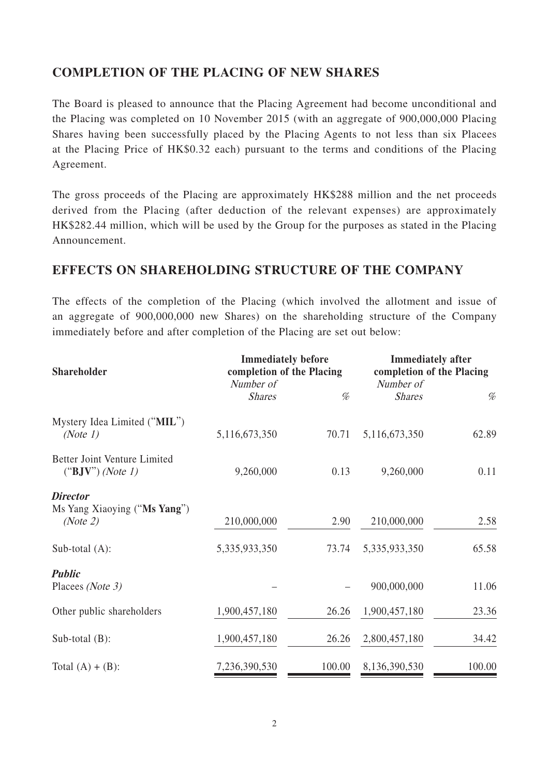## **COMPLETION OF THE PLACING OF NEW SHARES**

The Board is pleased to announce that the Placing Agreement had become unconditional and the Placing was completed on 10 November 2015 (with an aggregate of 900,000,000 Placing Shares having been successfully placed by the Placing Agents to not less than six Placees at the Placing Price of HK\$0.32 each) pursuant to the terms and conditions of the Placing Agreement.

The gross proceeds of the Placing are approximately HK\$288 million and the net proceeds derived from the Placing (after deduction of the relevant expenses) are approximately HK\$282.44 million, which will be used by the Group for the purposes as stated in the Placing Announcement.

#### **EFFECTS ON SHAREHOLDING STRUCTURE OF THE COMPANY**

The effects of the completion of the Placing (which involved the allotment and issue of an aggregate of 900,000,000 new Shares) on the shareholding structure of the Company immediately before and after completion of the Placing are set out below:

| <b>Shareholder</b>                                          | <b>Immediately before</b><br>completion of the Placing<br>Number of |        | <b>Immediately after</b><br>completion of the Placing<br>Number of |        |
|-------------------------------------------------------------|---------------------------------------------------------------------|--------|--------------------------------------------------------------------|--------|
|                                                             | <b>Shares</b>                                                       | %      | <b>Shares</b>                                                      | %      |
| Mystery Idea Limited ("MIL")<br>(Note 1)                    | 5,116,673,350                                                       | 70.71  | 5,116,673,350                                                      | 62.89  |
| Better Joint Venture Limited<br>$("BJV")$ (Note 1)          | 9,260,000                                                           | 0.13   | 9,260,000                                                          | 0.11   |
| <b>Director</b><br>Ms Yang Xiaoying ("Ms Yang")<br>(Note 2) | 210,000,000                                                         | 2.90   | 210,000,000                                                        | 2.58   |
| Sub-total $(A)$ :                                           | 5,335,933,350                                                       | 73.74  | 5,335,933,350                                                      | 65.58  |
| <b>Public</b><br>Placees (Note 3)                           |                                                                     |        | 900,000,000                                                        | 11.06  |
| Other public shareholders                                   | 1,900,457,180                                                       | 26.26  | 1,900,457,180                                                      | 23.36  |
| Sub-total $(B)$ :                                           | 1,900,457,180                                                       | 26.26  | 2,800,457,180                                                      | 34.42  |
| Total $(A) + (B)$ :                                         | 7,236,390,530                                                       | 100.00 | 8,136,390,530                                                      | 100.00 |